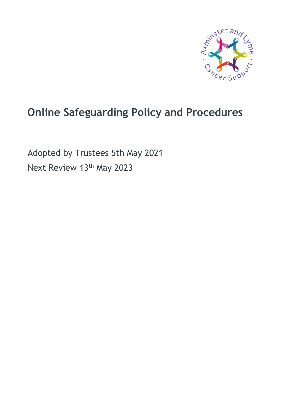

# **Online Safeguarding Policy and Procedures**

Adopted by Trustees 5th May 2021 Next Review 13<sup>th</sup> May 2023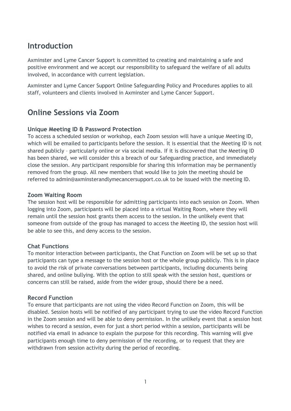### **Introduction**

Axminster and Lyme Cancer Support is committed to creating and maintaining a safe and positive environment and we accept our responsibility to safeguard the welfare of all adults involved, in accordance with current legislation.

Axminster and Lyme Cancer Support Online Safeguarding Policy and Procedures applies to all staff, volunteers and clients involved in Axminster and Lyme Cancer Support.

### **Online Sessions via Zoom**

#### **Unique Meeting ID & Password Protection**

To access a scheduled session or workshop, each Zoom session will have a unique Meeting ID, which will be emailed to participants before the session. It is essential that the Meeting ID is not shared publicly – particularly online or via social media. If it is discovered that the Meeting ID has been shared, we will consider this a breach of our Safeguarding practice, and immediately close the session. Any participant responsible for sharing this information may be permanently removed from the group. All new members that would like to join the meeting should be referred to admin@axminsterandlymecancersupport.co.uk to be issued with the meeting ID.

#### **Zoom Waiting Room**

The session host will be responsible for admitting participants into each session on Zoom. When logging into Zoom, participants will be placed into a virtual Waiting Room, where they will remain until the session host grants them access to the session. In the unlikely event that someone from outside of the group has managed to access the Meeting ID, the session host will be able to see this, and deny access to the session.

### **Chat Functions**

To monitor interaction between participants, the Chat Function on Zoom will be set up so that participants can type a message to the session host or the whole group publicly. This is in place to avoid the risk of private conversations between participants, including documents being shared, and online bullying. With the option to still speak with the session host, questions or concerns can still be raised, aside from the wider group, should there be a need.

#### **Record Function**

To ensure that participants are not using the video Record Function on Zoom, this will be disabled. Session hosts will be notified of any participant trying to use the video Record Function in the Zoom session and will be able to deny permission. In the unlikely event that a session host wishes to record a session, even for just a short period within a session, participants will be notified via email in advance to explain the purpose for this recording. This warning will give participants enough time to deny permission of the recording, or to request that they are withdrawn from session activity during the period of recording.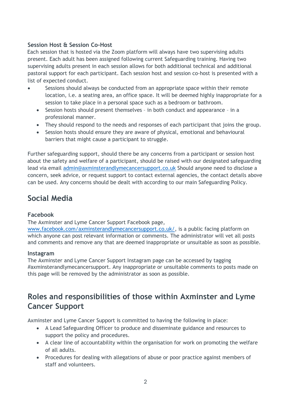### **Session Host & Session Co-Host**

Each session that is hosted via the Zoom platform will always have two supervising adults present. Each adult has been assigned following current Safeguarding training. Having two supervising adults present in each session allows for both additional technical and additional pastoral support for each participant. Each session host and session co-host is presented with a list of expected conduct.

- Sessions should always be conducted from an appropriate space within their remote location, i.e. a seating area, an office space. It will be deemed highly inappropriate for a session to take place in a personal space such as a bedroom or bathroom.
	- Session hosts should present themselves in both conduct and appearance in a professional manner.
	- They should respond to the needs and responses of each participant that joins the group.
	- Session hosts should ensure they are aware of physical, emotional and behavioural barriers that might cause a participant to struggle.

Further safeguarding support, should there be any concerns from a participant or session host about the safety and welfare of a participant, should be raised with our designated safeguarding lead via email [admin@axminsterandlymecancersupport.co.uk](mailto:admin@axminsterandlymecancersupport.co.uk) Should anyone need to disclose a concern, seek advice, or request support to contact external agencies, the contact details above can be used. Any concerns should be dealt with according to our main Safeguarding Policy.

### **Social Media**

#### **Facebook**

The Axminster and Lyme Cancer Support Facebook page,

[www.facebook.com/axminsterandlymecancersupport.co.uk/,](https://www.facebook.com/axminsterandlymecancersupport.co.uk/) is a public facing platform on which anyone can post relevant information or comments. The administrator will vet all posts and comments and remove any that are deemed inappropriate or unsuitable as soon as possible.

#### **Instagram**

The Axminster and Lyme Cancer Support Instagram page can be accessed by tagging #axminsterandlymecancersupport. Any inappropriate or unsuitable comments to posts made on this page will be removed by the administrator as soon as possible.

### **Roles and responsibilities of those within Axminster and Lyme Cancer Support**

Axminster and Lyme Cancer Support is committed to having the following in place:

- A Lead Safeguarding Officer to produce and disseminate guidance and resources to support the policy and procedures.
- A clear line of accountability within the organisation for work on promoting the welfare of all adults.
- Procedures for dealing with allegations of abuse or poor practice against members of staff and volunteers.